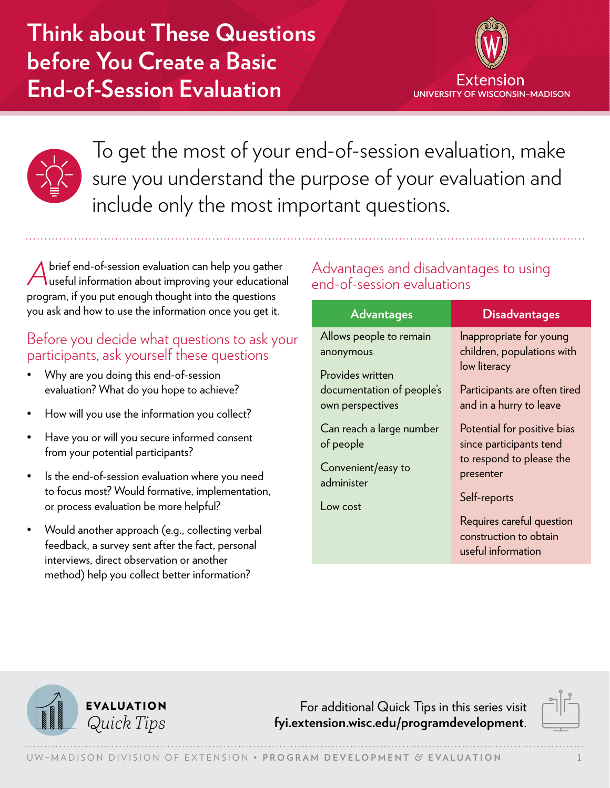**Think about These Questions before You Create a Basic End-of-Session Evaluation**





To get the most of your end-of-session evaluation, make sure you understand the purpose of your evaluation and include only the most important questions.

A brief end-of-session evaluation can help you gather<br>useful information about improving your educational program, if you put enough thought into the questions you ask and how to use the information once you get it.

### Before you decide what questions to ask your participants, ask yourself these questions

- Why are you doing this end-of-session evaluation? What do you hope to achieve?
- How will you use the information you collect?
- Have you or will you secure informed consent from your potential participants?
- Is the end-of-session evaluation where you need to focus most? Would formative, implementation, or process evaluation be more helpful?
- Would another approach (e.g., collecting verbal feedback, a survey sent after the fact, personal interviews, direct observation or another method) help you collect better information?

## Advantages and disadvantages to using end-of-session evaluations

| <b>Advantages</b>                                                                                                                                                        | <b>Disadvantages</b>                                                                                                                                                                                                                |
|--------------------------------------------------------------------------------------------------------------------------------------------------------------------------|-------------------------------------------------------------------------------------------------------------------------------------------------------------------------------------------------------------------------------------|
| Allows people to remain<br>anonymous<br>Provides written<br>documentation of people's<br>own perspectives<br>Can reach a large number<br>of people<br>Convenient/easy to | Inappropriate for young<br>children, populations with<br>low literacy<br>Participants are often tired<br>and in a hurry to leave<br>Potential for positive bias<br>since participants tend<br>to respond to please the<br>presenter |
| administer<br>Low cost                                                                                                                                                   | Self-reports<br>Requires careful question<br>construction to obtain<br>useful information                                                                                                                                           |



For additional Quick Tips in this series visit *Quick Tips* **[fyi.extension.wisc.edu/programdevelopment](https://fyi.extension.wisc.edu/programdevelopment)**.